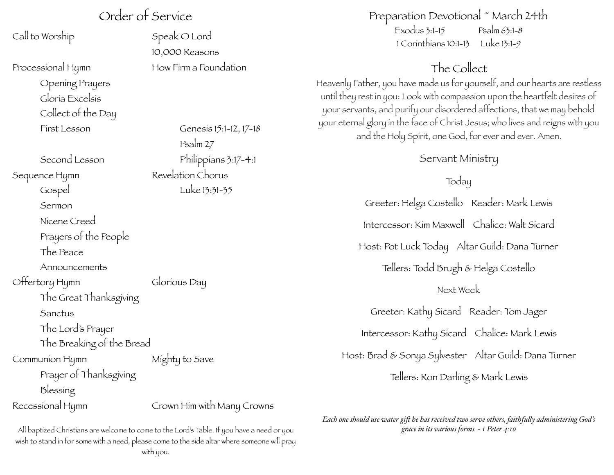## Order of Service

Call to Worship **Speak O Lord** 

Processional Hymn **How Firm a Foundation** 

Opening Prayers Gloria Excelsis Collect of the Day

Second Lesson Philippians 3:17-4:1 Sequence Hymn Revelation Chorus Gospel Luke 13:31-35 Sermon Nicene Creed Prayers of the People The Peace Announcements Offertory Hymn Glorious Day The Great Thanksgiving Sanctus The Lord's Prayer The Breaking of the Bread Communion Hymn Mighty to Save Prayer of Thanksgiving

Blessing

Recessional Hymn Crown Him with Many Crowns

 10,000 Reasons

First Lesson Genesis 15:1-12, 17-18 Psalm 27

## Preparation Devotional ~ March 24th

 $Exodus 3:1-15$   $Psalm 63:1-8$ 1 Corinthians 10:1-13 Luke 13:1-9

## The Collect

Heavenly Father, you have made us for yourself, and our hearts are restless until they rest in you: Look with compassion upon the heartfelt desires of your servants, and purify our disordered affections, that we may behold your eternal glory in the face of Christ Jesus; who lives and reigns with you and the Holy Spirit, one God, for ever and ever. Amen.

Servant Ministry

Today

Greeter: Helga Costello Reader: Mark Lewis Intercessor: Kim Maxwell Chalice: Walt Sicard Host: Pot Luck Today Altar Guild: Dana Turner Tellers: Todd Brugh & Helga Costello Next Week Greeter: Kathy Sicard Reader: Tom Jager Intercessor: Kathy Sicard Chalice: Mark Lewis Host: Brad & Sonya Sylvester Altar Guild: Dana Turner Tellers: Ron Darling & Mark Lewis

*Each one should use water gif he has received two serve others, faithfuly administering God's grace in its various forms. ~ 1 Peter 4:10*

All baptized Christians are welcome to come to the Lord's Table. If you have a need or you wish to stand in for some with a need, please come to the side altar where someone will pray with you.